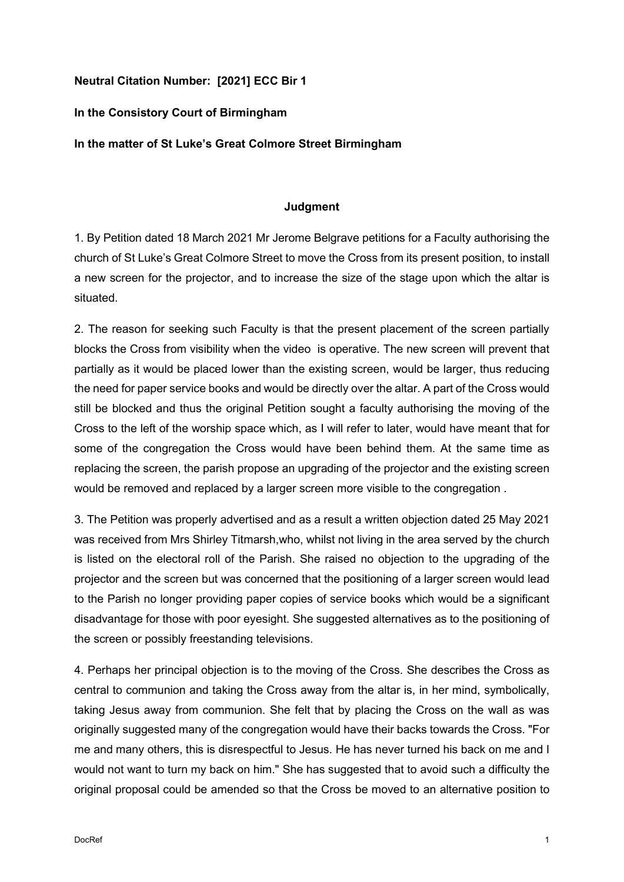## **Neutral Citation Number: [2021] ECC Bir 1**

## **In the Consistory Court of Birmingham**

**In the matter of St Luke's Great Colmore Street Birmingham** 

## **Judgment**

1. By Petition dated 18 March 2021 Mr Jerome Belgrave petitions for a Faculty authorising the church of St Luke's Great Colmore Street to move the Cross from its present position, to install a new screen for the projector, and to increase the size of the stage upon which the altar is situated.

2. The reason for seeking such Faculty is that the present placement of the screen partially blocks the Cross from visibility when the video is operative. The new screen will prevent that partially as it would be placed lower than the existing screen, would be larger, thus reducing the need for paper service books and would be directly over the altar. A part of the Cross would still be blocked and thus the original Petition sought a faculty authorising the moving of the Cross to the left of the worship space which, as I will refer to later, would have meant that for some of the congregation the Cross would have been behind them. At the same time as replacing the screen, the parish propose an upgrading of the projector and the existing screen would be removed and replaced by a larger screen more visible to the congregation .

3. The Petition was properly advertised and as a result a written objection dated 25 May 2021 was received from Mrs Shirley Titmarsh,who, whilst not living in the area served by the church is listed on the electoral roll of the Parish. She raised no objection to the upgrading of the projector and the screen but was concerned that the positioning of a larger screen would lead to the Parish no longer providing paper copies of service books which would be a significant disadvantage for those with poor eyesight. She suggested alternatives as to the positioning of the screen or possibly freestanding televisions.

4. Perhaps her principal objection is to the moving of the Cross. She describes the Cross as central to communion and taking the Cross away from the altar is, in her mind, symbolically, taking Jesus away from communion. She felt that by placing the Cross on the wall as was originally suggested many of the congregation would have their backs towards the Cross. "For me and many others, this is disrespectful to Jesus. He has never turned his back on me and I would not want to turn my back on him." She has suggested that to avoid such a difficulty the original proposal could be amended so that the Cross be moved to an alternative position to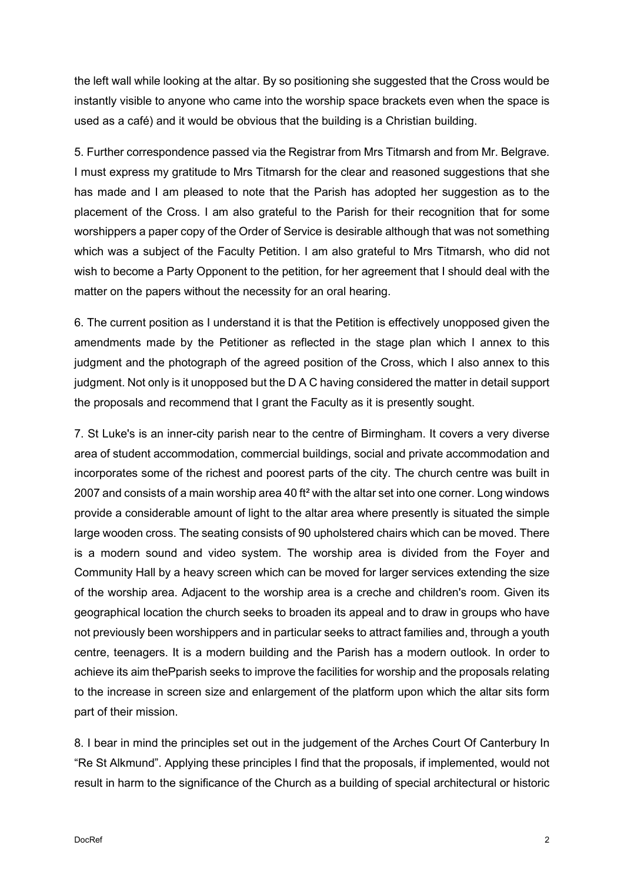the left wall while looking at the altar. By so positioning she suggested that the Cross would be instantly visible to anyone who came into the worship space brackets even when the space is used as a café) and it would be obvious that the building is a Christian building.

5. Further correspondence passed via the Registrar from Mrs Titmarsh and from Mr. Belgrave. I must express my gratitude to Mrs Titmarsh for the clear and reasoned suggestions that she has made and I am pleased to note that the Parish has adopted her suggestion as to the placement of the Cross. I am also grateful to the Parish for their recognition that for some worshippers a paper copy of the Order of Service is desirable although that was not something which was a subject of the Faculty Petition. I am also grateful to Mrs Titmarsh, who did not wish to become a Party Opponent to the petition, for her agreement that I should deal with the matter on the papers without the necessity for an oral hearing.

6. The current position as I understand it is that the Petition is effectively unopposed given the amendments made by the Petitioner as reflected in the stage plan which I annex to this judgment and the photograph of the agreed position of the Cross, which I also annex to this judgment. Not only is it unopposed but the D A C having considered the matter in detail support the proposals and recommend that I grant the Faculty as it is presently sought.

7. St Luke's is an inner-city parish near to the centre of Birmingham. It covers a very diverse area of student accommodation, commercial buildings, social and private accommodation and incorporates some of the richest and poorest parts of the city. The church centre was built in 2007 and consists of a main worship area 40 ft² with the altar set into one corner. Long windows provide a considerable amount of light to the altar area where presently is situated the simple large wooden cross. The seating consists of 90 upholstered chairs which can be moved. There is a modern sound and video system. The worship area is divided from the Foyer and Community Hall by a heavy screen which can be moved for larger services extending the size of the worship area. Adjacent to the worship area is a creche and children's room. Given its geographical location the church seeks to broaden its appeal and to draw in groups who have not previously been worshippers and in particular seeks to attract families and, through a youth centre, teenagers. It is a modern building and the Parish has a modern outlook. In order to achieve its aim thePparish seeks to improve the facilities for worship and the proposals relating to the increase in screen size and enlargement of the platform upon which the altar sits form part of their mission.

8. I bear in mind the principles set out in the judgement of the Arches Court Of Canterbury In "Re St Alkmund". Applying these principles I find that the proposals, if implemented, would not result in harm to the significance of the Church as a building of special architectural or historic